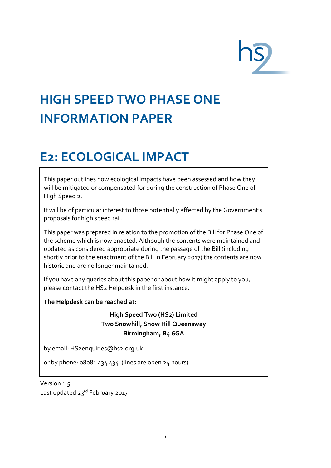# **HIGH SPEED TWO PHASE ONE INFORMATION PAPER**

## **E2: ECOLOGICAL IMPACT**

This paper outlines how ecological impacts have been assessed and how they will be mitigated or compensated for during the construction of Phase One of High Speed 2.

It will be of particular interest to those potentially affected by the Government's proposals for high speed rail.

This paper was prepared in relation to the promotion of the Bill for Phase One of the scheme which is now enacted. Although the contents were maintained and updated as considered appropriate during the passage of the Bill (including shortly prior to the enactment of the Bill in February 2017) the contents are now historic and are no longer maintained.

If you have any queries about this paper or about how it might apply to you, please contact the HS2 Helpdesk in the first instance.

**The Helpdesk can be reached at:**

#### **High Speed Two (HS2) Limited Two Snowhill, Snow Hill Queensway Birmingham, B4 6GA**

by email[: HS2enquiries@hs2.org.uk](mailto:HS2enquiries@hs2.org.uk)

or by phone: 08081 434 434 (lines are open 24 hours)

Version 1.5 Last updated 23rd February 2017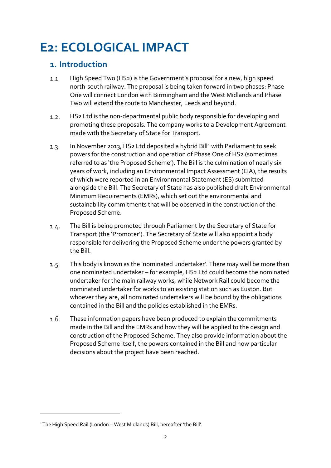### **E2: ECOLOGICAL IMPACT**

#### **1. Introduction**

- High Speed Two (HS2) is the Government's proposal for a new, high speed  $1.1.$ north-south railway. The proposal is being taken forward in two phases: Phase One will connect London with Birmingham and the West Midlands and Phase Two will extend the route to Manchester, Leeds and beyond.
- HS2 Ltd is the non-departmental public body responsible for developing and  $1.2.$ promoting these proposals. The company works to a Development Agreement made with the Secretary of State for Transport.
- $1.3.$ In November 20[1](#page-1-0)3, HS2 Ltd deposited a hybrid Bill<sup>1</sup> with Parliament to seek powers for the construction and operation of Phase One of HS2 (sometimes referred to as 'the Proposed Scheme'). The Bill is the culmination of nearly six years of work, including an Environmental Impact Assessment (EIA), the results of which were reported in an Environmental Statement (ES) submitted alongside the Bill. The Secretary of State has also published draft Environmental Minimum Requirements (EMRs), which set out the environmental and sustainability commitments that will be observed in the construction of the Proposed Scheme.
- The Bill is being promoted through Parliament by the Secretary of State for  $1.4.$ Transport (the 'Promoter'). The Secretary of State will also appoint a body responsible for delivering the Proposed Scheme under the powers granted by the Bill.
- $1.5.$ This body is known as the 'nominated undertaker'. There may well be more than one nominated undertaker – for example, HS2 Ltd could become the nominated undertaker for the main railway works, while Network Rail could become the nominated undertaker for works to an existing station such as Euston. But whoever they are, all nominated undertakers will be bound by the obligations contained in the Bill and the policies established in the EMRs.
- $1.6.$ These information papers have been produced to explain the commitments made in the Bill and the EMRs and how they will be applied to the design and construction of the Proposed Scheme. They also provide information about the Proposed Scheme itself, the powers contained in the Bill and how particular decisions about the project have been reached.

<u>.</u>

<span id="page-1-0"></span><sup>1</sup>The High Speed Rail (London – West Midlands) Bill, hereafter 'the Bill'.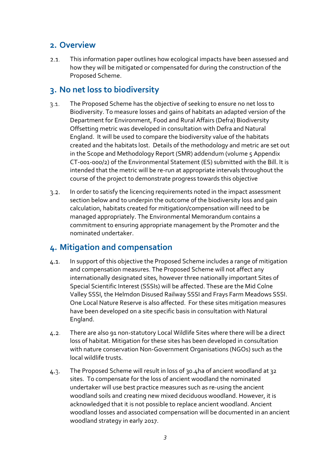#### **2. Overview**

This information paper outlines how ecological impacts have been assessed and  $2.1.$ how they will be mitigated or compensated for during the construction of the Proposed Scheme.

### **3. No net loss to biodiversity**

- The Proposed Scheme has the objective of seeking to ensure no net loss to  $3.1.$ Biodiversity. To measure losses and gains of habitats an adapted version of the Department for Environment, Food and Rural Affairs (Defra) Biodiversity Offsetting metric was developed in consultation with Defra and Natural England. It will be used to compare the biodiversity value of the habitats created and the habitats lost. Details of the methodology and metric are set out in the Scope and Methodology Report (SMR) addendum (volume 5 Appendix CT-001-000/2) of the Environmental Statement (ES) submitted with the Bill. It is intended that the metric will be re-run at appropriate intervals throughout the course of the project to demonstrate progress towards this objective
- In order to satisfy the licencing requirements noted in the impact assessment  $3.2.$ section below and to underpin the outcome of the biodiversity loss and gain calculation, habitats created for mitigation/compensation will need to be managed appropriately. The Environmental Memorandum contains a commitment to ensuring appropriate management by the Promoter and the nominated undertaker.

#### **4. Mitigation and compensation**

- In support of this objective the Proposed Scheme includes a range of mitigation  $4.1.$ and compensation measures. The Proposed Scheme will not affect any internationally designated sites, however three nationally important Sites of Special Scientific Interest (SSSIs) will be affected. These are the Mid Colne Valley SSSI, the Helmdon Disused Railway SSSI and Frays Farm Meadows SSSI. One Local Nature Reserve is also affected. For these sites mitigation measures have been developed on a site specific basis in consultation with Natural England.
- $4.2.$ There are also 91 non-statutory Local Wildlife Sites where there will be a direct loss of habitat. Mitigation for these sites has been developed in consultation with nature conservation Non-Government Organisations (NGOs) such as the local wildlife trusts.
- The Proposed Scheme will result in loss of 30.4ha of ancient woodland at 32 4.3. sites. To compensate for the loss of ancient woodland the nominated undertaker will use best practice measures such as re-using the ancient woodland soils and creating new mixed deciduous woodland. However, it is acknowledged that it is not possible to replace ancient woodland. Ancient woodland losses and associated compensation will be documented in an ancient woodland strategy in early 2017.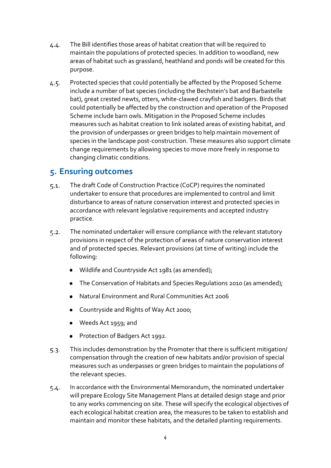- The Bill identifies those areas of habitat creation that will be required to  $4.4.$ maintain the populations of protected species. In addition to woodland, new areas of habitat such as grassland, heathland and ponds will be created for this purpose.
- Protected species that could potentially be affected by the Proposed Scheme  $4.5.$ include a number of bat species (including the Bechstein's bat and Barbastelle bat), great crested newts, otters, white-clawed crayfish and badgers. Birds that could potentially be affected by the construction and operation of the Proposed Scheme include barn owls. Mitigation in the Proposed Scheme includes measures such as habitat creation to link isolated areas of existing habitat, and the provision of underpasses or green bridges to help maintain movement of species in the landscape post-construction. These measures also support climate change requirements by allowing species to move more freely in response to changing climatic conditions.

#### **5. Ensuring outcomes**

- The draft Code of Construction Practice (CoCP) requires the nominated  $5.1.$ undertaker to ensure that procedures are implemented to control and limit disturbance to areas of nature conservation interest and protected species in accordance with relevant legislative requirements and accepted industry practice.
- The nominated undertaker will ensure compliance with the relevant statutory  $5.2.$ provisions in respect of the protection of areas of nature conservation interest and of protected species. Relevant provisions (at time of writing) include the following:
	- Wildlife and Countryside Act 1981 (as amended);
	- The Conservation of Habitats and Species Regulations 2010 (as amended);
	- Natural Environment and Rural Communities Act 2006
	- Countryside and Rights of Way Act 2000;
	- Weeds Act 1959; and
	- Protection of Badgers Act 1992.
- This includes demonstration by the Promoter that there is sufficient mitigation/  $5.3.$ compensation through the creation of new habitats and/or provision of special measures such as underpasses or green bridges to maintain the populations of the relevant species.
- In accordance with the Environmental Memorandum, the nominated undertaker  $5.4.$ will prepare Ecology Site Management Plans at detailed design stage and prior to any works commencing on site. These will specify the ecological objectives of each ecological habitat creation area, the measures to be taken to establish and maintain and monitor these habitats, and the detailed planting requirements.